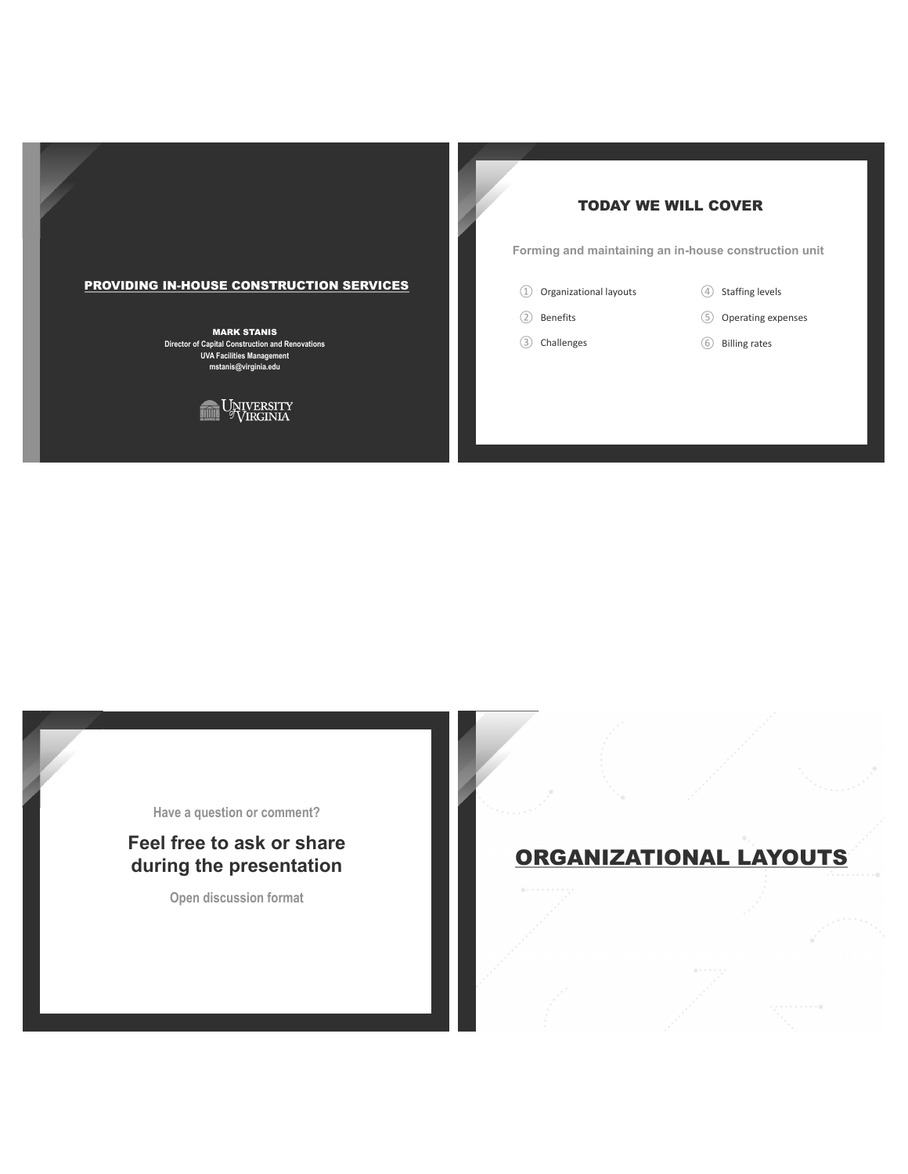# **TODAY WE WILL COVER**

Forming and maintaining an in-house construction unit

- 1 Organizational layouts
- 2 Benefits
- 3 Challenges
- 4 Staffing levels
- 5 Operating expenses
- 6 Billing rates

### **PROVIDING IN-HOUSE CONSTRUCTION SERVICES**

**MARK STANIS** Director of Capital Construction and Renovations **UVA Facilities Management** mstanis@virginia.edu



Have a question or comment?

# Feel free to ask or share during the presentation

Open discussion format

# ORGANIZATIONAL LAYOUTS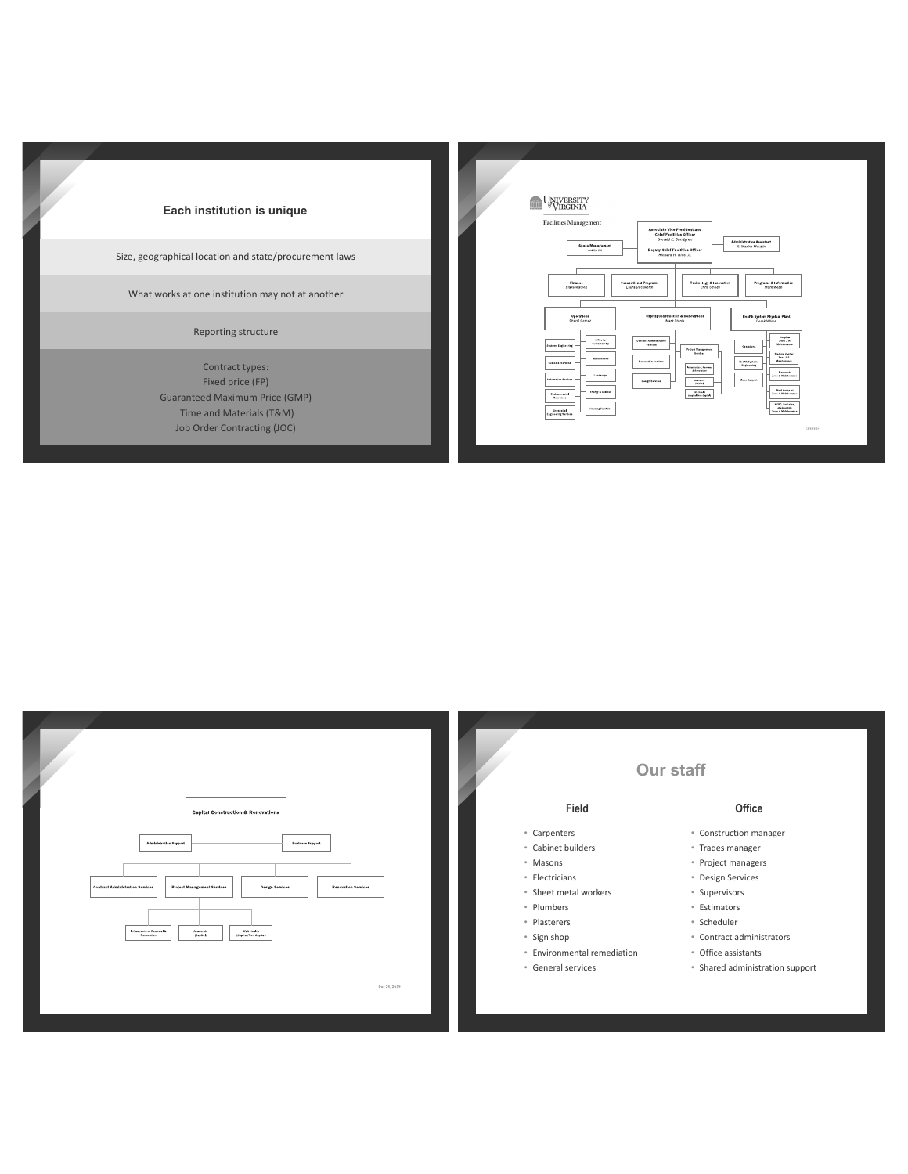

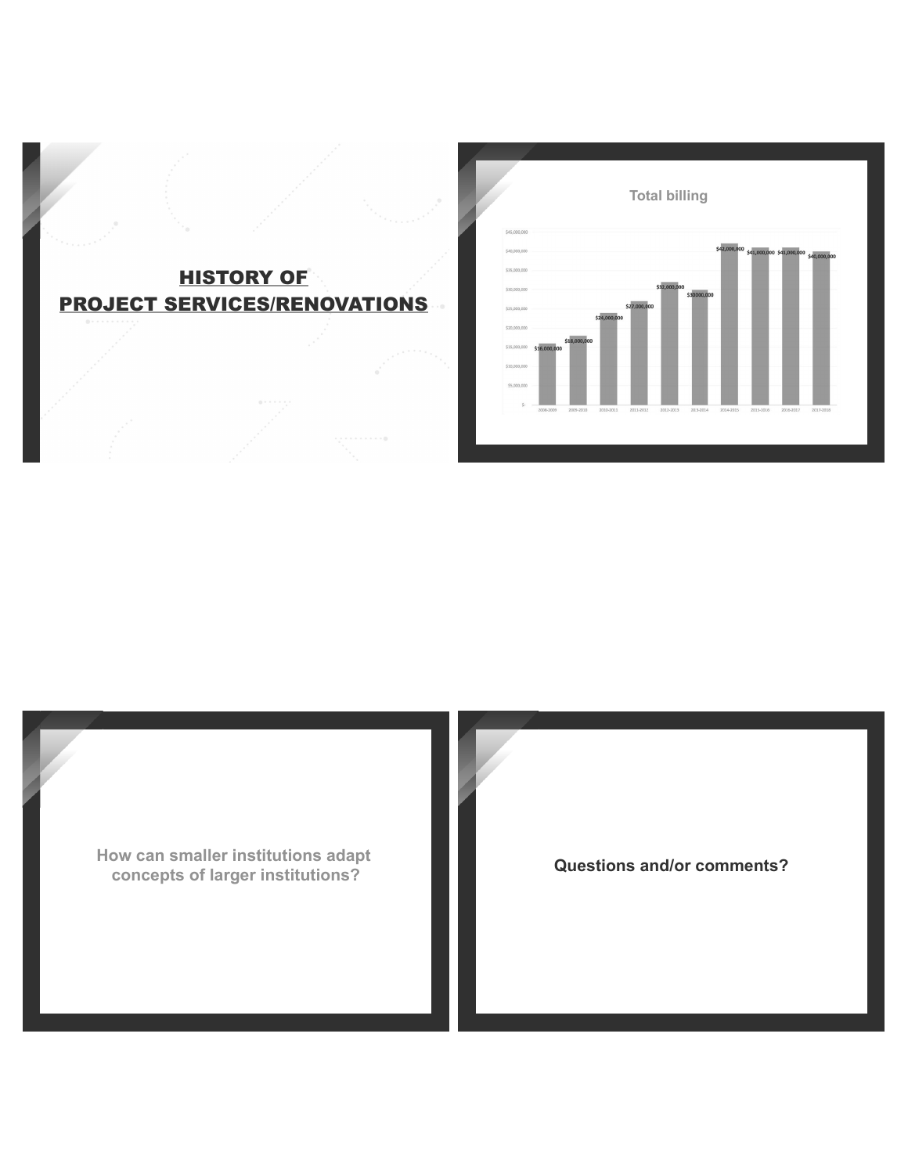



How can smaller institutions adapt concepts of larger institutions?

**Questions and/or comments?**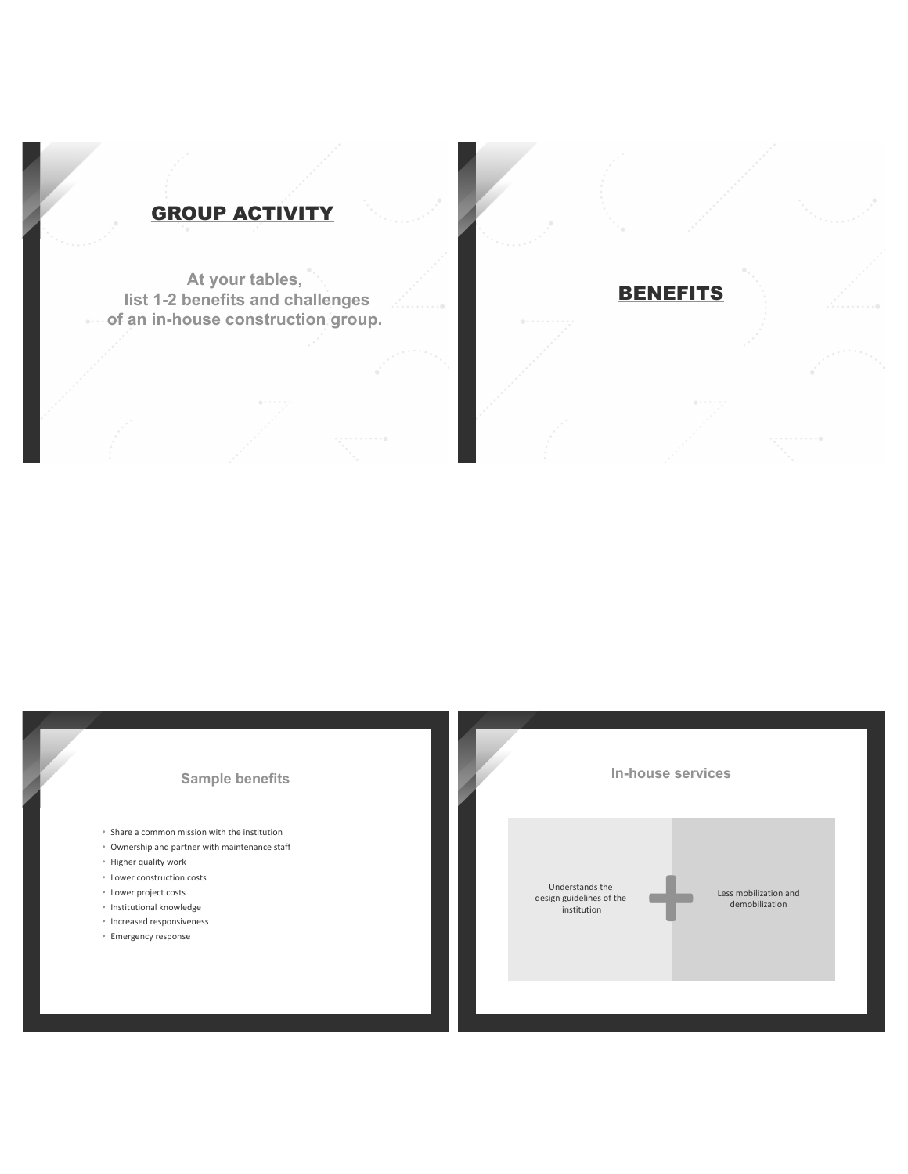# **GROUP ACTIVITY**

At your tables, list 1-2 benefits and challenges<br>
.... of an in-house construction group.

### **Sample benefits**

- Share a common mission with the institution
- Ownership and partner with maintenance staff
- · Higher quality work
- Lower construction costs
- Lower project costs
- · Institutional knowledge
- · Increased responsiveness
- · Emergency response



**BENEFITS**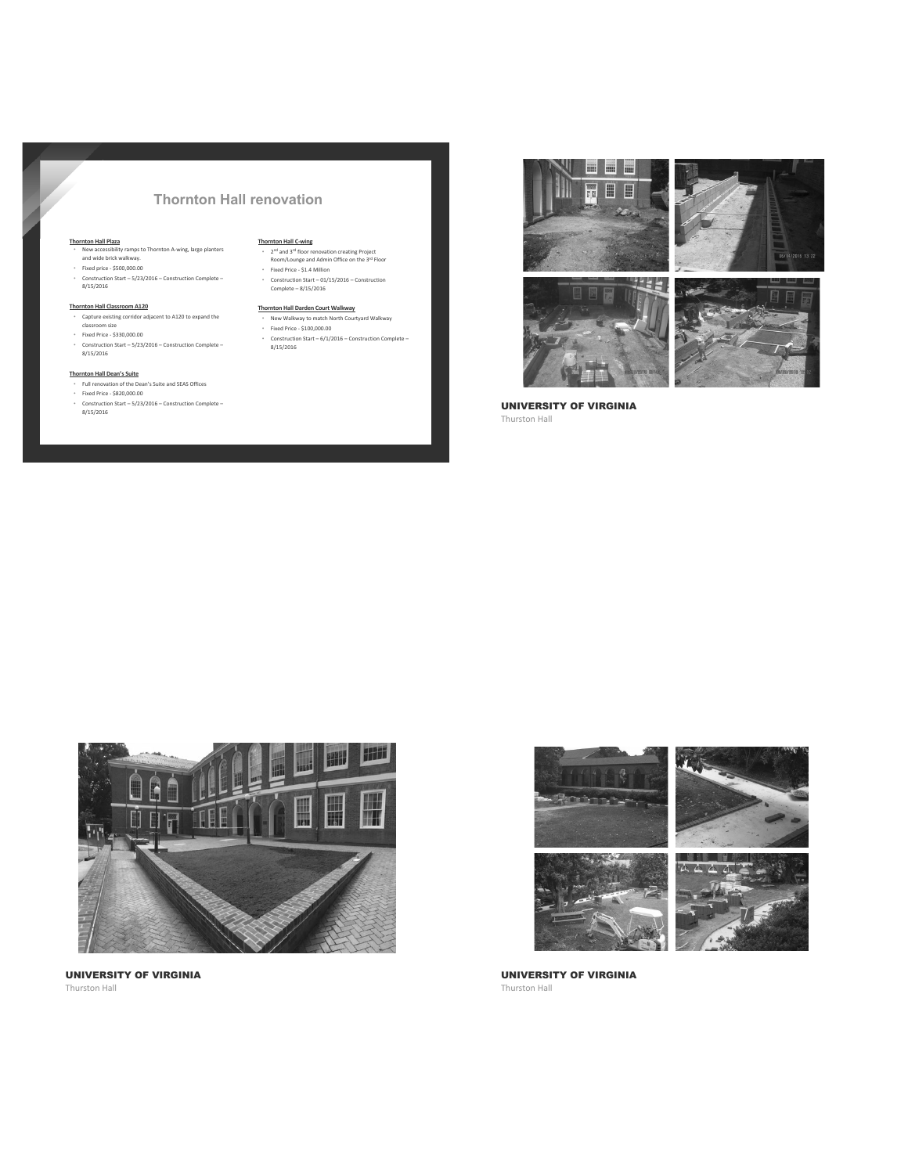### **Thornton Hall renovation**

- Thornton Hall Plaza<br>• New accessibility ramps to Thornton A-wing, large planters<br>• and wide brick walkway.<br>• Fixed price \$500,000.00 - Construction Start – 5/23/2016 – Construction Complete –<br>8/15/2016
- 

### Thornton Hall Classroom A120

- **EXAMPLE AND ASSISTED AND SET AND SET AND ASSISTED ASSISTED ASSISTED**<br>Classroom size<br>Fixed Price \$330,000.00
- rixeu riiue >330,000.00<br>- Construction Start 5/23/2016 Construction Complete –<br>8/15/2016

### **Thornton Hall Dean's Suite**

- Figure 1.1 Figure 2016<br>• Full renovation of the Dean's Suite and SEAS Offices<br>• Fixed Price \$820,000.00
- Construction Start = 5/23/2016 Construction Complete –<br>8/15/2016

- **Thornton Hall C-wing**<br>
\*  $2^{nd}$  and  $3^{rd}$  floor renovation creating Project<br>
Room/Lounge and Admin Office on the  $3^{rd}$  Floor
- Fixed Price \$1.4 Million<br>Fixed Price \$1.4 Million<br>Construction Start 01/15/2016 Construction<br>Complete 8/15/2016

- Thornton Hall Darden Court Walkway<br>• New Walkway to match North Courtyard Walkway<br>• Fixed Price \$100,000.00
- Construction Start  $6/1/2016$  Construction Complete 8/15/2016



**UNIVERSITY OF VIRGINIA** Thurston Hall



**UNIVERSITY OF VIRGINIA** Thurston Hall



**UNIVERSITY OF VIRGINIA** Thurston Hall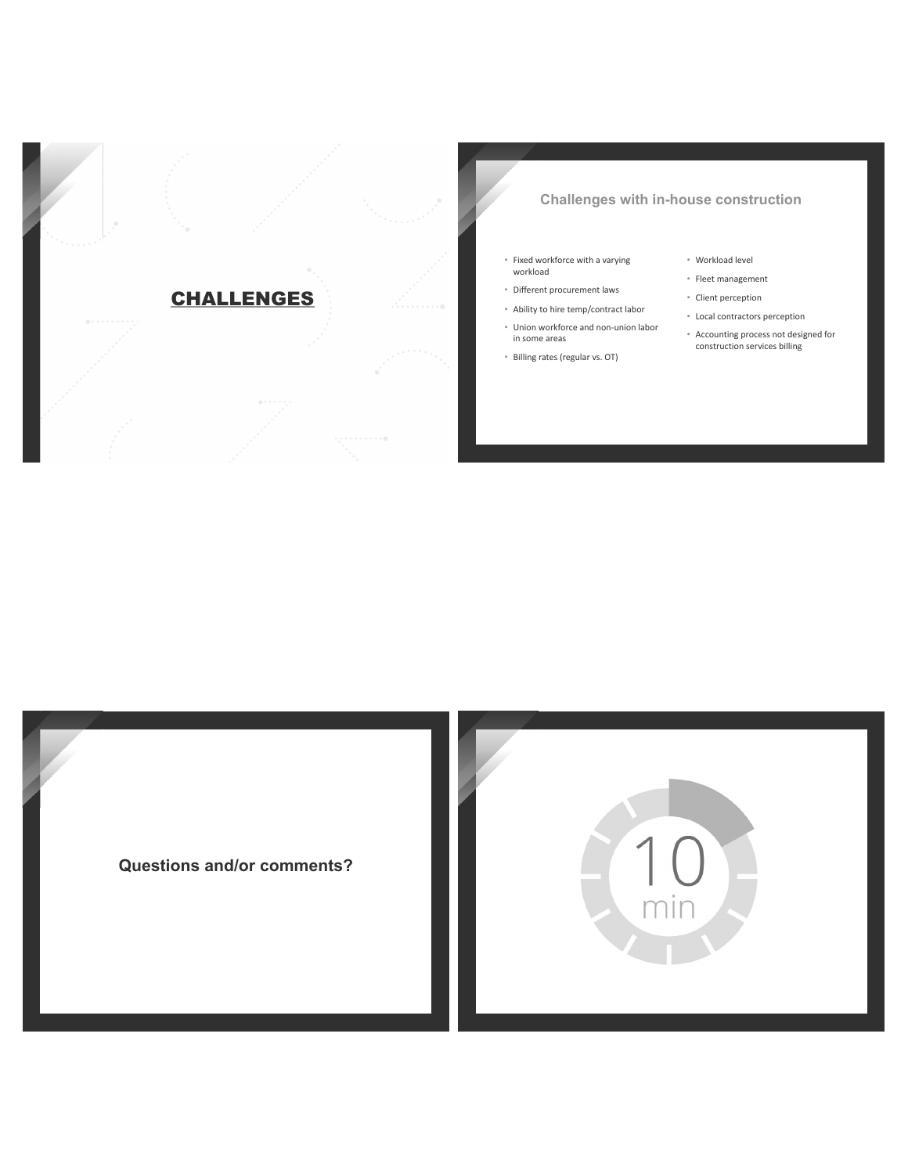

## **Challenges with in-house construction**

- Fixed workforce with a varying<br>workload
- · Different procurement laws
- Ability to hire temp/contract labor
- · Union workforce and non-union labor in some areas
- · Billing rates (regular vs. OT)
- · Workload level
- · Fleet management
- Client perception
- Local contractors perception
- \* Accounting process not designed for<br>construction services billing

**Questions and/or comments?** 

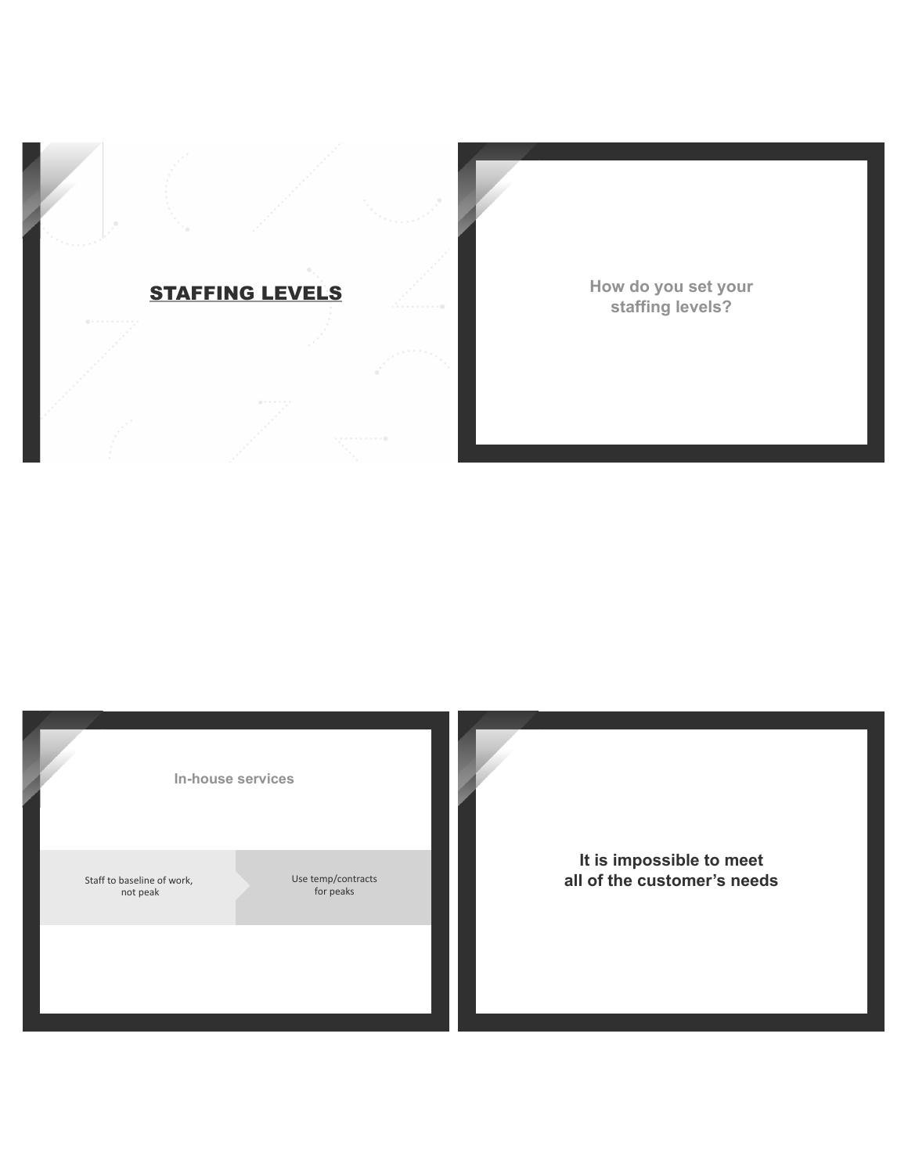

How do you set your staffing levels?

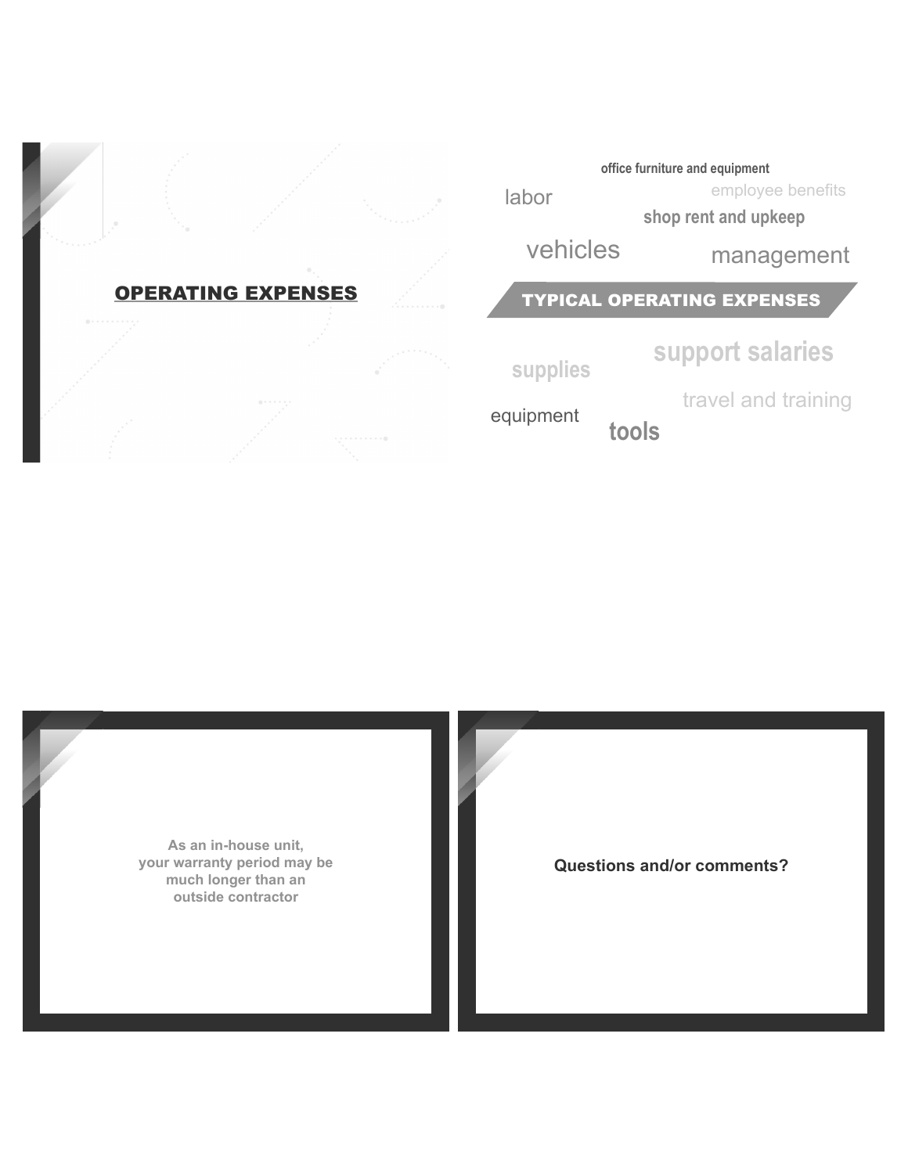



**Questions and/or comments?**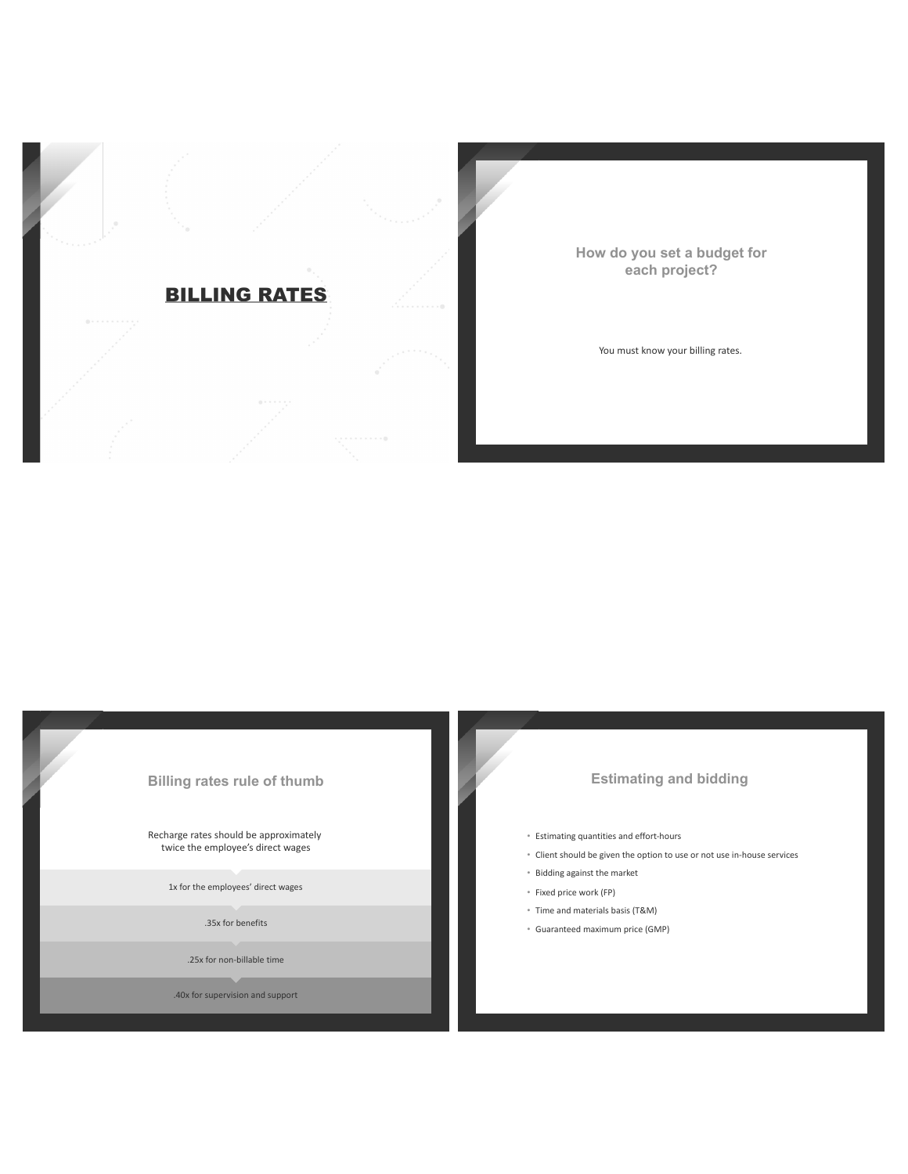

How do you set a budget for each project?

You must know your billing rates.

### **Billing rates rule of thumb**

Recharge rates should be approximately twice the employee's direct wages

1x for the employees' direct wages

.35x for benefits

.25x for non-billable time

.40x for supervision and support

## **Estimating and bidding**

- **Estimating quantities and effort-hours**
- Client should be given the option to use or not use in-house services
- Bidding against the market
- · Fixed price work (FP)
- Time and materials basis (T&M)
- · Guaranteed maximum price (GMP)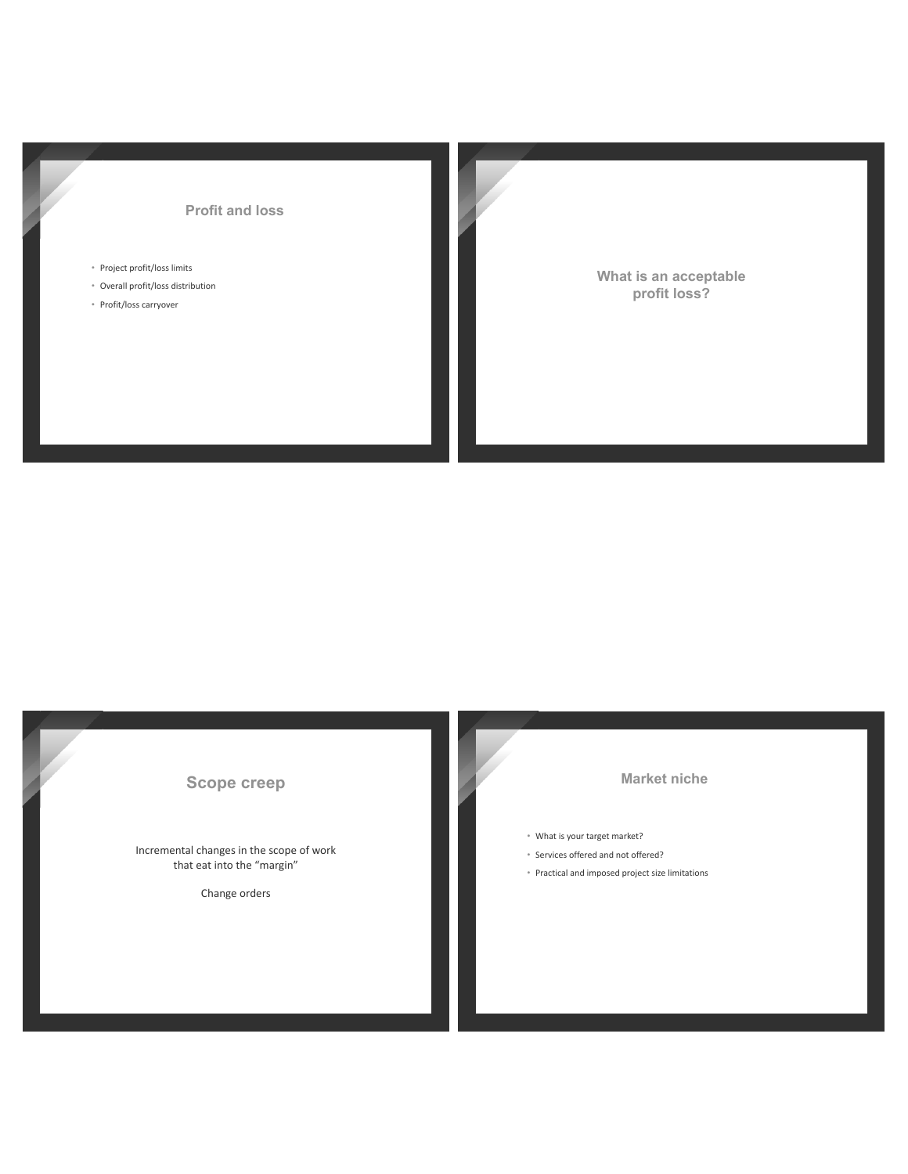### **Profit and loss**

- Project profit/loss limits
- Overall profit/loss distribution
- Profit/loss carryover

What is an acceptable profit loss?

# Scope creep

Incremental changes in the scope of work that eat into the "margin"

Change orders

### **Market niche**

- What is your target market?
- Services offered and not offered?
- Practical and imposed project size limitations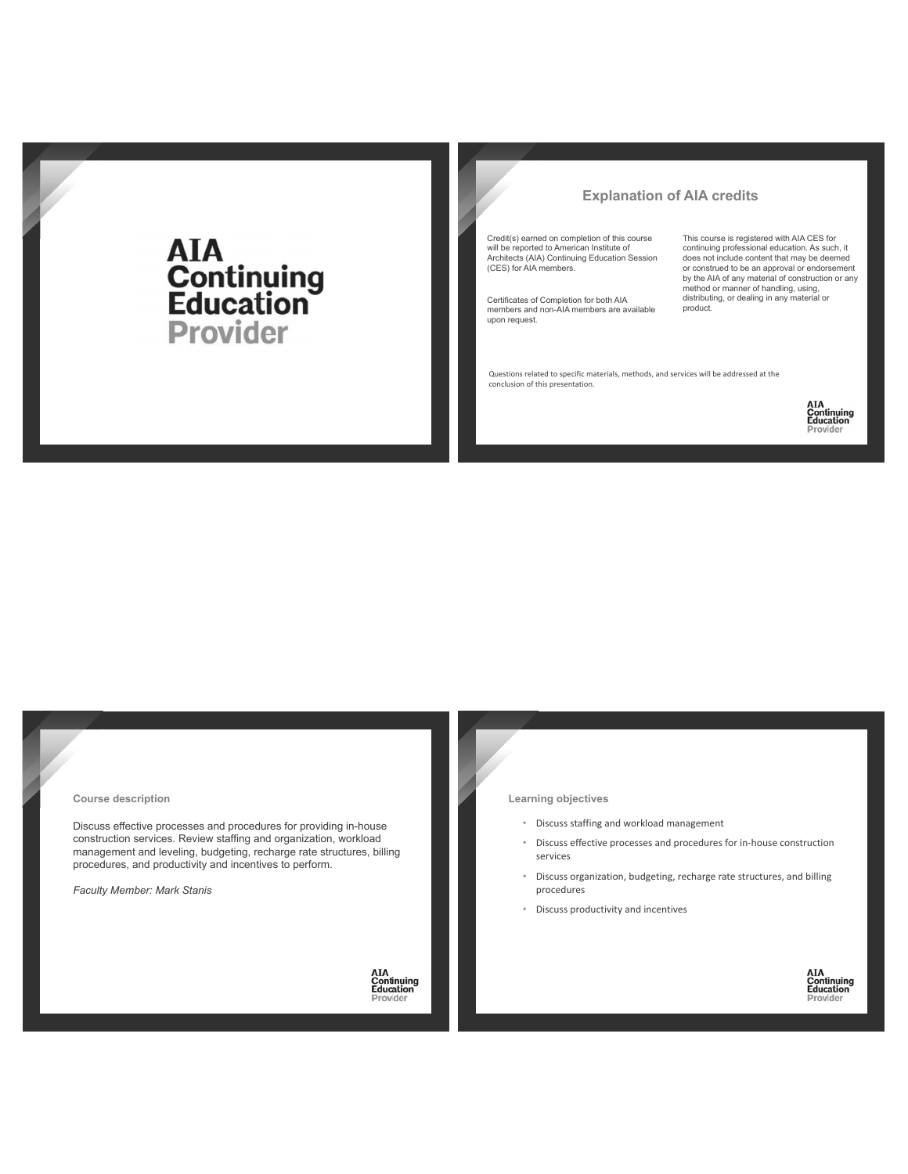# **AIA<br>Continuing<br>Education Provider**

### **Explanation of AIA credits**

Credit(s) earned on completion of this course will be reported to American Institute of<br>Architects (AIA) Continuing Education Session (CES) for AIA members.

Certificates of Completion for both AIA<br>members and non-AIA members are available upon request.

This course is registered with AIA CES for continuing professional education. As such, it<br>does not include content that may be deemed or construed to be an approval or endorsement<br>by the AIA of any material of construction or any method or manner of handling, using,<br>distributing, or dealing in any material or product.

Questions related to specific materials, methods, and services will be addressed at the conclusion of this presentation.



**AIA**<br>**Continuing**<br>**Education**<br>Provider

Course description

Discuss effective processes and procedures for providing in-house construction services. Review staffing and organization, workload management and leveling, budgeting, recharge rate structures, billing procedures, and productivity and incentives to perform.

Faculty Member: Mark Stanis

**AIA**<br>**Continuing**<br>**Education**<br>Provider

### Learning objectives

- Discuss staffing and workload management
- Discuss effective processes and procedures for in-house construction services
- $\ddot{\phantom{0}}$ Discuss organization, budgeting, recharge rate structures, and billing procedures
- Discuss productivity and incentives